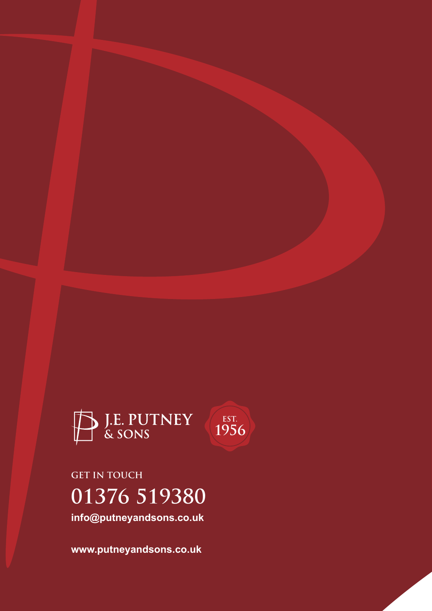

**01376 519380 info@putneyandsons.co.uk GET IN TOUCH**

**www.putneyandsons.co.uk**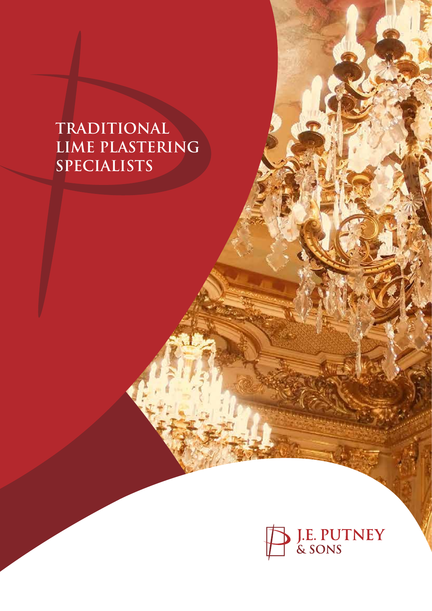# **TRADITIONAL LIME PLASTERING SPECIALISTS**

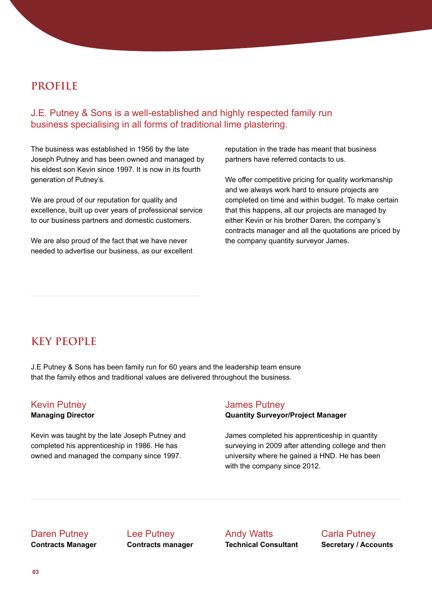## **PROFILE**

J.E. Putney & Sons is a well-established and highly respected family run business specialising in all forms of traditional lime plastering.

The business was established in 1956 by the late Joseph Putney and has been owned and managed by his eldest son Kevin since 1997. It is now in its fourth generation of Putney's.

We are proud of our reputation for quality and excellence, built up over years of professional service to our business partners and domestic customers.

We are also proud of the fact that we have never needed to advertise our business, as our excellent reputation in the trade has meant that business partners have referred contacts to us.

We offer competitive pricing for quality workmanship and we always work hard to ensure projects are completed on time and within budget. To make certain that this happens, all our projects are managed by either Kevin or his brother Daren, the company's contracts manager and all the quotations are priced by the company quantity surveyor James.

# **KEY PEOPLE**

J.E Putney & Sons has been family run for 60 years and the leadership team ensure that the family ethos and traditional values are delivered throughout the business.

# Kevin Putney

**Managing Director**

Kevin was taught by the late Joseph Putney and completed his apprenticeship in 1986. He has owned and managed the company since 1997.

#### James Putney

**Quantity Surveyor/Project Manager**

James completed his apprenticeship in quantity surveying in 2009 after attending college and then university where he gained a HND. He has been with the company since 2012.

#### Daren Putney

**Contracts Manager**

Lee Putney **Contracts manager** Andy Watts **Technical Consultant** Carla Putney **Secretary / Accounts**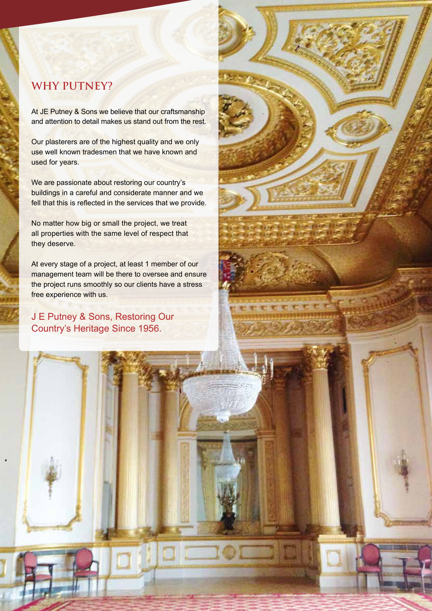# **WHY PUTNEY?**

At JE Putney & Sons we believe that our craftsmanship and attention to detail makes us stand out from the rest.

Our plasterers are of the highest quality and we only use well known tradesmen that we have known and used for years.

We are passionate about restoring our country's buildings in a careful and considerate manner and we fell that this is reflected in the services that we provide.

No matter how big or small the project, we treat all properties with the same level of respect that they deserve.

At every stage of a project, at least 1 member of our management team will be there to oversee and ensure the project runs smoothly so our clients have a stress free experience with us.

J E Putney & Sons, Restoring Our Country's Heritage Since 1956.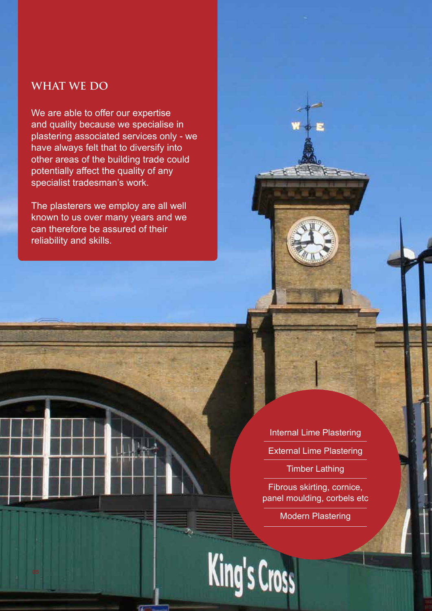# **WHAT WE DO**

We are able to offer our expertise and quality because we specialise in plastering associated services only - we have always felt that to diversify into other areas of the building trade could potentially affect the quality of any specialist tradesman's work.

The plasterers we employ are all well known to us over many years and we can therefore be assured of their reliability and skills.

> Internal Lime Plastering External Lime Plastering Timber Lathing

Fibrous skirting, cornice, panel moulding, corbels etc

Modern Plastering

King's Cross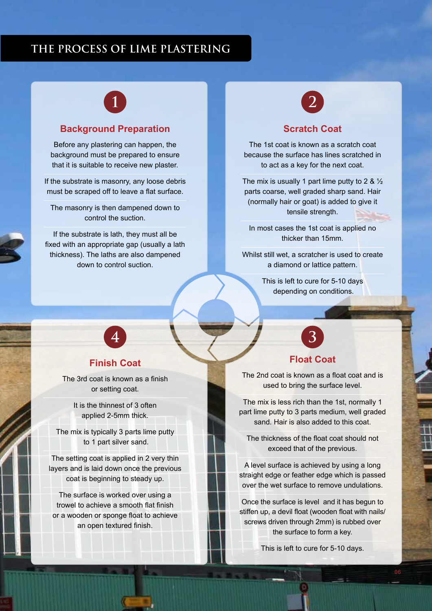## **THE PROCESS OF LIME PLASTERING**



#### **Background Preparation**

Before any plastering can happen, the background must be prepared to ensure that it is suitable to receive new plaster.

If the substrate is masonry, any loose debris must be scraped off to leave a flat surface.

The masonry is then dampened down to control the suction.

If the substrate is lath, they must all be fixed with an appropriate gap (usually a lath thickness). The laths are also dampened down to control suction.



#### **Scratch Coat**

The 1st coat is known as a scratch coat because the surface has lines scratched in to act as a key for the next coat.

The mix is usually 1 part lime putty to 2 &  $\frac{1}{2}$ parts coarse, well graded sharp sand. Hair (normally hair or goat) is added to give it tensile strength.

In most cases the 1st coat is applied no thicker than 15mm.

Whilst still wet, a scratcher is used to create a diamond or lattice pattern.

> This is left to cure for 5-10 days depending on conditions.

# **Finish Coat**

**4**

The 3rd coat is known as a finish or setting coat.

> It is the thinnest of 3 often applied 2-5mm thick.

The mix is typically 3 parts lime putty to 1 part silver sand.

The setting coat is applied in 2 very thin layers and is laid down once the previous coat is beginning to steady up.

The surface is worked over using a trowel to achieve a smooth flat finish or a wooden or sponge float to achieve an open textured finish.



#### **Float Coat**

The 2nd coat is known as a float coat and is used to bring the surface level.

The mix is less rich than the 1st, normally 1 part lime putty to 3 parts medium, well graded sand. Hair is also added to this coat.

The thickness of the float coat should not exceed that of the previous.

A level surface is achieved by using a long straight edge or feather edge which is passed over the wet surface to remove undulations.

Once the surface is level and it has begun to stiffen up, a devil float (wooden float with nails/ screws driven through 2mm) is rubbed over the surface to form a key.

This is left to cure for 5-10 days.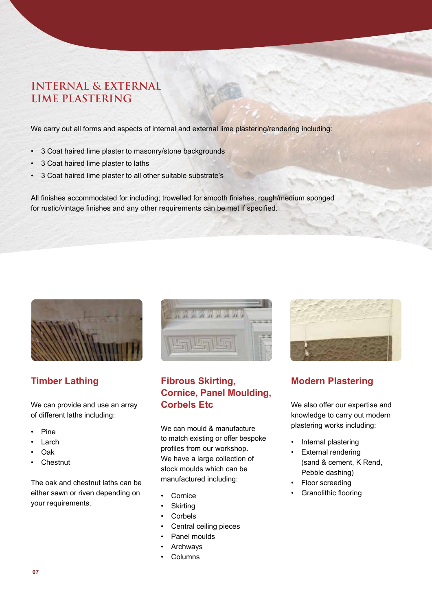# **INTERNAL & EXTERNAL LIME PLASTERING**

We carry out all forms and aspects of internal and external lime plastering/rendering including:

- 3 Coat haired lime plaster to masonry/stone backgrounds
- 3 Coat haired lime plaster to laths
- 3 Coat haired lime plaster to all other suitable substrate's

All finishes accommodated for including; trowelled for smooth finishes, rough/medium sponged for rustic/vintage finishes and any other requirements can be met if specified.



## **Timber Lathing**

We can provide and use an array of different laths including:

- Pine
- Larch
- Oak
- **Chestnut**

The oak and chestnut laths can be either sawn or riven depending on your requirements.



## **Fibrous Skirting, Cornice, Panel Moulding, Corbels Etc**

We can mould & manufacture to match existing or offer bespoke profiles from our workshop. We have a large collection of stock moulds which can be manufactured including:

- **Cornice**
- **Skirting**
- **Corbels**
- Central ceiling pieces
- Panel moulds
- **Archways**
- **Columns**



# **Modern Plastering**

We also offer our expertise and knowledge to carry out modern plastering works including:

- Internal plastering
- External rendering (sand & cement, K Rend, Pebble dashing)
- Floor screeding
- Granolithic flooring